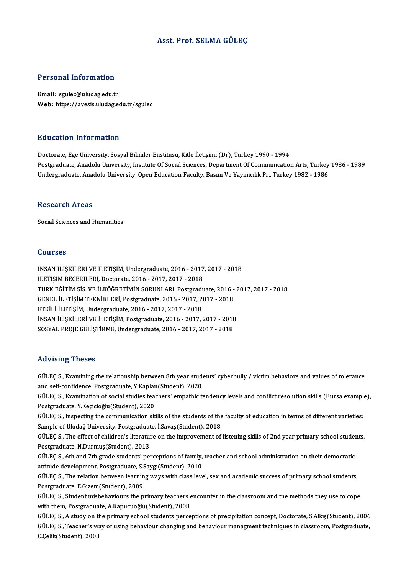#### Asst. Prof. SELMA GÜLEÇ

#### Personal Information

Email: sgulec@uludag.edu.tr Web: https://avesis.uludag.edu.tr/sgulec

#### Education Information

Doctorate, Ege University, Sosyal Bilimler Enstitüsü, Kitle İletişimi (Dr), Turkey 1990 - 1994 Postgraduate, Anadolu University, Institute Of Social Sciences, Department Of Communication Arts, Turkey 1986 - 1989 Undergraduate, Anadolu University, Open Education Faculty, Basım Ve Yayımcılık Pr., Turkey 1982 - 1986

#### **Research Areas**

Social Sciences and Humanities

#### Courses

Courses<br>İNSAN İLİŞKİLERİ VE İLETİŞİM, Undergraduate, 2016 - 2017, 2017 - 2018<br>İLETİSİM PECERİLERİ, Dectarate, 2016 - 2017, 2017, 2019 UULIUS<br>İNSAN İLİŞKİLERİ VE İLETİŞİM, Undergraduate, 2016 - 2017<br>İLETİŞİM BECERİLERİ, Doctorate, 2016 - 2017, 2017 - 2018<br>TÜRK FĞİTİM SİS VE İLKÖĞRETİMİN SORUNLARL Rotaradı İNSAN İLİŞKİLERİ VE İLETİŞİM, Undergraduate, 2016 - 2017, 2017 - 2018<br>İLETİŞİM BECERİLERİ, Doctorate, 2016 - 2017, 2017 - 2018<br>TÜRK EĞİTİM SİS. VE İLKÖĞRETİMİN SORUNLARI, Postgraduate, 2016 - 2017, 2017 - 2018<br>CENEL İLETİS İLETİŞİM BECERİLERİ, Doctorate, 2016 - 2017, 2017 - 2018<br>TÜRK EĞİTİM SİS. VE İLKÖĞRETİMİN SORUNLARI, Postgraduate, 2016 -<br>GENEL İLETİŞİM TEKNİKLERİ, Postgraduate, 2016 - 2017, 2017 - 2018<br>ETKİLLİ ILETİSİM Undergraduate, 20 GENEL İLETİŞİM TEKNİKLERİ, Postgraduate, 2016 - 2017, 2017 - 2018<br>ETKİLİ İLETİŞİM, Undergraduate, 2016 - 2017, 2017 - 2018 GENEL İLETİŞİM TEKNİKLERİ, Postgraduate, 2016 - 2017, 2017 - 2018<br>ETKİLİ İLETİŞİM, Undergraduate, 2016 - 2017, 2017 - 2018<br>İNSAN İLİŞKİLERİ VE İLETİŞİM, Postgraduate, 2016 - 2017, 2017 - 2018<br>SOSYAL PROJE CELİSTİPME Underg ETKİLİ İLETİŞİM, Undergraduate, 2016 - 2017, 2017 - 2018<br>İNSAN İLİŞKİLERİ VE İLETİŞİM, Postgraduate, 2016 - 2017, 2017 - 2018<br>SOSYAL PROJE GELİŞTİRME, Undergraduate, 2016 - 2017, 2017 - 2018 SOSYAL PROJE GELIŞTİRME, Undergraduate, 2016 - 2017, 2017 - 2018<br>Advising Theses

Advising Theses<br>GÜLEÇ S., Examining the relationship between 8th year students' cyberbully / victim behaviors and values of tolerance<br>and self sanfidance, Bestyngluate X Kanlan(Student), 2020. raa viering in 1999<br>GÜLEÇ S., Examining the relationship between 8th year stude<br>and self-confidence, Postgraduate, Y.Kaplan(Student), 2020<br>CÜLEC S. Examination of social studies toosham', emashis t GÜLEÇ S., Examining the relationship between 8th year students' cyberbully / victim behaviors and values of tolerance<br>and self-confidence, Postgraduate, Y.Kaplan(Student), 2020<br>GÜLEÇ S., Examination of social studies teach

and self-confidence, Postgraduate, Y.Kaplan(Student), 2020<br>GÜLEÇ S., Examination of social studies teachers' empathic tendency levels and conflict resolution skills (Bursa example),<br>Postgraduate, Y.Keçicioğlu(Student), 202 GÜLEÇ S., Examination of social studies teachers' empathic tendency levels and conflict resolution skills (Bursa example<br>Postgraduate, Y.Keçicioğlu(Student), 2020<br>GÜLEÇ S., Inspecting the communication skills of the studen

Postgraduate, Y.Keçicioğlu(Student), 2020<br>GÜLEÇ S., Inspecting the communication skills of the students of the<br>Sample of Uludağ University, Postgraduate, İ.Savaş(Student), 2018<br>CÜLEÇ S., The effect of children's literature GÜLEÇ S., Inspecting the communication skills of the students of the faculty of education in terms of different varieties:<br>Sample of Uludağ University, Postgraduate, İ.Savaş(Student), 2018<br>GÜLEÇ S., The effect of children'

Sample of Uludağ University, Postgraduat<br>GÜLEÇ S., The effect of children's literatur<br>Postgraduate, N.Durmuş(Student), 2013<br>CÜLEC S. 6th and 7th grade students' nor GÜLEÇ S., The effect of children's literature on the improvement of listening skills of 2nd year primary school student<br>Postgraduate, N.Durmuş(Student), 2013<br>GÜLEÇ S., 6th and 7th grade students' perceptions of family, tea

Postgraduate, N.Durmuş(Student), 2013<br>GÜLEÇ S., 6th and 7th grade students' perceptions of family,<br>attitude development, Postgraduate, S.Saygı(Student), 2010<br>CÜLEC S. The relation between learning ways with class lave

GÜLEÇ S., 6th and 7th grade students' perceptions of family, teacher and school administration on their democratic<br>attitude development, Postgraduate, S.Saygı(Student), 2010<br>GÜLEÇ S., The relation between learning ways wit attitude development, Postgraduate, S.S.<br>GÜLEÇ S., The relation between learnin<br>Postgraduate, E.Gizem(Student), 2009<br>CÜLEC S. Student mishebevieurs the D GÜLEÇ S., The relation between learning ways with class level, sex and academic success of primary school students,<br>Postgraduate, E.Gizem(Student), 2009<br>GÜLEÇ S., Student misbehaviours the primary teachers encounter in the

Postgraduate, E.Gizem(Student), 2009<br>GÜLEÇ S., Student misbehaviours the primary teachers e<br>with them, Postgraduate, A.Kapucuoğlu(Student), 2008<br>CÜLEC S. A. study on the primary sebool students`perse GÜLEÇ S., Student misbehaviours the primary teachers encounter in the classroom and the methods they use to cope<br>with them, Postgraduate, A.Kapucuoğlu(Student), 2008<br>GÜLEÇ S., A study on the primary school students`percept

with them, Postgraduate, A.Kapucuoğlu(Student), 2008<br>GÜLEÇ S., A study on the primary school students`perceptions of precipitation concept, Doctorate, S.Alkış(Student), 2006<br>GÜLEÇ S., Teacher's way of using behaviour chang GÜLEÇ S., A study on tl<br>GÜLEÇ S., Teacher's w:<br>C.Çelik(Student), 2003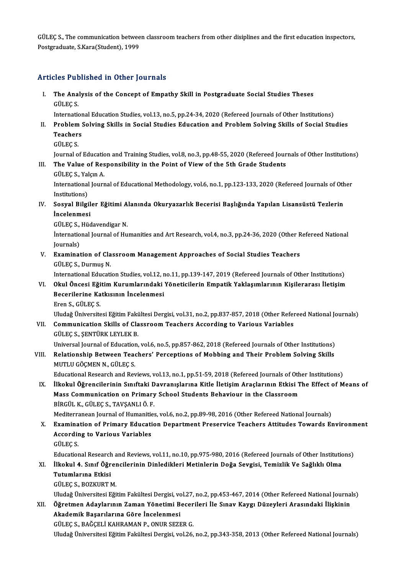GÜLEÇ S., The communication between classroom teachers from other disiplines and the first education inspectors,<br>Restanaduate S Kere(Student), 1999 GÜLEÇ S., The communication betwee<br>Postgraduate, S.Kara(Student), 1999

# Postgraduate, S.Kara(Student), 1999<br>Articles Published in Other Journals

rticles Published in Other Journals<br>I. The Analysis of the Concept of Empathy Skill in Postgraduate Social Studies Theses<br>CÜLECS The Ana<br>The Ana<br>GÜLEÇ S. The Analysis of the Concept of Empathy Skill in Postgraduate Social Studies Theses<br>GÜLEÇ S.<br>International Education Studies, vol.13, no.5, pp.24-34, 2020 (Refereed Journals of Other Institutions)<br>Problem Solving Skills in

- GÜLEÇ S.<br>International Education Studies, vol.13, no.5, pp.24-34, 2020 (Refereed Journals of Other Institutions)<br>II. Problem Solving Skills in Social Studies Education and Problem Solving Skills of Social Studies<br>Teach Internation<br>Problem :<br>Teachers<br>CÜLECS Teachers<br>GÜLEÇ S.<br>Journal of Education and Training Studies, vol.8, no.3, pp.48-55, 2020 (Refereed Journals of Other Institutions)<br>The Value of Responsibility in the Roint of View of the Eth Crade Students
	- GÜLEÇS.

III. The Value of Responsibility in the Point of View of the 5th Grade Students GÜLEC S., Yalcon A. Journal of Education<br>**The Value of Res**<br>GÜLEÇ S., Yalçın A.<br>International Journ

The Value of Responsibility in the Point of View of the 5th Grade Students<br>GÜLEÇ S., Yalçın A.<br>International Journal of Educational Methodology, vol.6, no.1, pp.123-133, 2020 (Refereed Journals of Other<br>Institutional GÜLEÇ S., Yal<br>International<br>Institutions)<br>Seavel Bilgi International Journal of Educational Methodology, vol.6, no.1, pp.123-133, 2020 (Refereed Journals of Oth<br>Institutions)<br>IV. Sosyal Bilgiler Eğitimi Alanında Okuryazarlık Becerisi Başlığında Yapılan Lisansüstü Tezlerin<br>İnse

# Institutions)<br>Sosyal Bilgil<br>İncelenmesi<br>CÜLECS Hüd Sosyal Bilgiler Eğitimi A<br>İncelenmesi<br>GÜLEÇ S., Hüdavendigar N.<br>İnternational Journal of Hu

İncelenmesi<br>GÜLEÇ S., Hüdavendigar N.<br>İnternational Journal of Humanities and Art Research, vol.4, no.3, pp.24-36, 2020 (Other Refereed National<br>Journals) GÜLEÇ S.,<br>İnternatio<br>Journals)<br>Examinat International Journal of Humanities and Art Research, vol.4, no.3, pp.24-36, 2020 (Other R<br>Journals)<br>V. Examination of Classroom Management Approaches of Social Studies Teachers<br>CULECS, Durmus N

# Journals)<br><mark>Examination of Cla</mark><br>GÜLEÇ S., Durmuş N.<br>International Educati GÜLEÇ S., Durmuş N.<br>International Education Studies, vol.12, no.11, pp.139-147, 2019 (Refereed Journals of Other Institutions)

#### GÜLEÇ S., Durmuş N.<br>International Education Studies, vol.12, no.11, pp.139-147, 2019 (Refereed Journals of Other Institutions)<br>VI. Okul Öncesi Eğitim Kurumlarındaki Yöneticilerin Empatik Yaklaşımlarının Kişilerarası İl International Education Studies, vol.12, r<br>Okul Öncesi Eğitim Kurumlarındaki<br>Becerilerine Katkısının İncelenmesi<br>Eren S. CÜLEC S Okul Öncesi E<mark>ği</mark><br>Becerilerine Ka<br>Eren S., GÜLEÇ S.<br>Uludeğ Üniversite Becerilerine Katkısının İncelenmesi<br>Eren S., GÜLEÇ S.<br>Uludağ Üniversitesi Eğitim Fakültesi Dergisi, vol.31, no.2, pp.837-857, 2018 (Other Refereed National Journals)

### Eren S., GÜLEÇ S.<br>Uludağ Üniversitesi Eğitim Fakültesi Dergisi, vol.31, no.2, pp.837-857, 2018 (Other Refer<br>VII. Communication Skills of Classroom Teachers According to Various Variables<br>CÜLEC S. SENTÜRK LEVLEK R Uludağ Üniversitesi Eğitim Faki<br>**Communication Skills of Cla**<br>GÜLEÇ S., ŞENTÜRK LEYLEK B.<br>Universel Jaumal of Education GÜLEÇ S., ŞENTÜRK LEYLEK B.<br>Universal Journal of Education, vol.6, no.5, pp.857-862, 2018 (Refereed Journals of Other Institutions)

# GÜLEÇ S., ŞENTÜRK LEYLEK B.<br>Universal Journal of Education, vol.6, no.5, pp.857-862, 2018 (Refereed Journals of Other Institutions)<br>VIII. Relationship Between Teachers' Perceptions of Mobbing and Their Problem Solving Universal Journal of Education<br>Relationship Between Tead<br>MUTLU GÖÇMEN N., GÜLEÇ S.<br>Educational Bessarsh and Bet Relationship Between Teachers' Perceptions of Mobbing and Their Problem Solving Skills<br>MUTLU GÖÇMEN N., GÜLEÇ S.<br>Educational Research and Reviews, vol.13, no.1, pp.51-59, 2018 (Refereed Journals of Other Institutions)<br>İlko

MUTLU GÖÇMEN N., GÜLEÇ S.<br>Educational Research and Reviews, vol.13, no.1, pp.51-59, 2018 (Refereed Journals of Other Institutions)<br>IX. İlkokul Öğrencilerinin Sınıftaki Davranışlarına Kitle İletişim Araçlarının Etkisi The E Educational Research and Reviews, vol.13, no.1, pp.51-59, 2018 (Refereed Journals of Oth<br>İlkokul Öğrencilerinin Sınıftaki Davranışlarına Kitle İletişim Araçlarının Etkisi T<br>Mass Communication on Primary School Students Beh İlkokul Öğrencilerinin Sınıftaki D<br>Mass Communication on Primary<br>BİRGÜL K., GÜLEÇ S., TAVŞANLI Ö. F.<br>Mediterranean Jaurnal of Humanities Mass Communication on Primary School Students Behaviour in the Classroom<br>BİRGÜL K., GÜLEÇ S., TAVŞANLI Ö. F.<br>Mediterranean Journal of Humanities, vol.6, no.2, pp.89-98, 2016 (Other Refereed National Journals)<br>Examination o BİRGÜL K., GÜLEÇ S., TAVŞANLI Ö. F.<br>Mediterranean Journal of Humanities, vol.6, no.2, pp.89-98, 2016 (Other Refereed National Journals)<br>X. Examination of Primary Education Department Preservice Teachers Attitudes Towar

Mediterranean Journal of Humanitie<br>Examination of Primary Educati<br>According to Various Variables<br>C<sup>in EC S</sup> According to Various Variables<br>GÜLEÇS.

Educational Research and Reviews, vol.11, no.10, pp.975-980, 2016 (Refereed Journals of Other Institutions) GÜLEÇ S.<br>Educational Research and Reviews, vol.11, no.10, pp.975-980, 2016 (Refereed Journals of Other Institutic<br>XI. İlkokul 4. Sınıf Öğrencilerinin Dinledikleri Metinlerin Doğa Sevgisi, Temizlik Ve Sağlıklı Olma<br>Tutumlar

### Educational Research<br>İlkokul 4. Sınıf Öğr<br>Tutumlarına Etkisi<br>CÜLECS BOZKUPTA İlkokul 4. Sınıf Öğrer<br>Tutumlarına Etkisi<br>GÜLEÇ S., BOZKURT M.<br>Uludeğ Üniversitesi Eği T<mark>utumlarına Etkisi</mark><br>GÜLEÇ S., BOZKURT M.<br>Uludağ Üniversitesi Eğitim Fakültesi Dergisi, vol.27, no.2, pp.453-467, 2014 (Other Refereed National Journals)

# GÜLEÇ S., BOZKURT M.<br>Uludağ Üniversitesi Eğitim Fakültesi Dergisi, vol.27, no.2, pp.453-467, 2014 (Other Refereed National Journa<br>Altermen Adaylarının Zaman Yönetimi Becerileri İle Sınav Kaygı Düzeyleri Arasındaki İlişkini Akademik Başarılarına Göre İncelenmesi Öğretmen Adaylarının Zaman Yönetimi Becer<br>Akademik Başarılarına Göre İncelenmesi<br>GÜLEÇ S., BAĞÇELİ KAHRAMAN P., ONUR SEZER G.<br>Uludeğ Üniversitesi Fğitim Feltiltesi Dergisi vel 26

Uludağ Üniversitesi Eğitim Fakültesi Dergisi, vol.26, no.2, pp.343-358, 2013 (Other Refereed National Journals)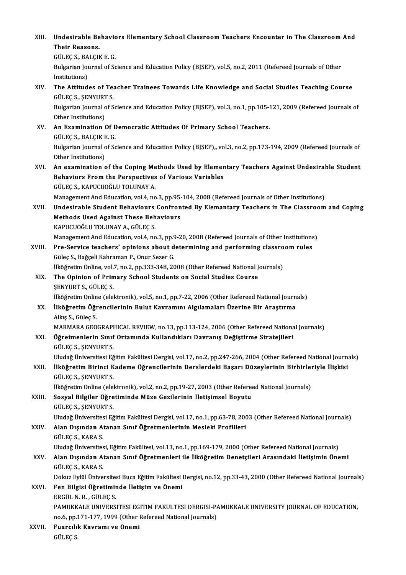| XIII.  | Undesirable Behaviors Elementary School Classroom Teachers Encounter in The Classroom And                                              |
|--------|----------------------------------------------------------------------------------------------------------------------------------------|
|        | Their Reasons.                                                                                                                         |
|        | GÜLEÇ S., BALÇIK E. G.                                                                                                                 |
|        | Bulgarian Journal of Science and Education Policy (BJSEP), vol.5, no.2, 2011 (Refereed Journals of Other                               |
|        | Institutions)                                                                                                                          |
| XIV.   | The Attitudes of Teacher Trainees Towards Life Knowledge and Social Studies Teaching Course                                            |
|        | GÜLEC S., ŞENYURT S.                                                                                                                   |
|        | Bulgarian Journal of Science and Education Policy (BJSEP), vol.3, no.1, pp.105-121, 2009 (Refereed Journals of<br>Other Institutions)  |
| XV.    | An Examination Of Democratic Attitudes Of Primary School Teachers.                                                                     |
|        | GÜLEÇ S., BALÇIK E. G.                                                                                                                 |
|        | Bulgarian Journal of Science and Education Policy (BJSEP),, vol.3, no.2, pp.173-194, 2009 (Refereed Journals of<br>Other Institutions) |
| XVI.   | An examination of the Coping Methods Used by Elementary Teachers Against Undesirable Student                                           |
|        | Behaviors From the Perspectives of Various Variables                                                                                   |
|        | GÜLEÇ S., KAPUCUOĞLU TOLUNAY A.                                                                                                        |
|        | Management And Education, vol.4, no.3, pp.95-104, 2008 (Refereed Journals of Other Institutions)                                       |
| XVII.  | Undesirable Student Behaviours Confronted By Elemantary Teachers in The Classroom and Coping                                           |
|        | <b>Methods Used Against These Behaviours</b>                                                                                           |
|        | KAPUCUOĞLU TOLUNAY A., GÜLEÇ S.                                                                                                        |
|        | Management And Education, vol.4, no.3, pp.9-20, 2008 (Refereed Journals of Other Institutions)                                         |
| XVIII. | Pre-Service teachers' opinions about determining and performing classroom rules                                                        |
|        | Güleç S., Bağçeli Kahraman P., Onur Sezer G.                                                                                           |
| XIX.   | İlköğretim Online, vol.7, no.2, pp.333-348, 2008 (Other Refereed National Journals)                                                    |
|        | The Opinion of Primary School Students on Social Studies Course                                                                        |
|        | <b>ŞENYURT S., GÜLEÇ S.</b><br>İlköğretim Online (elektronik), vol.5, no.1, pp.7-22, 2006 (Other Refereed National Journals)           |
| XX.    | İlköğretim Öğrencilerinin Bulut Kavramını Algılamaları Üzerine Bir Araştırma                                                           |
|        | Alkış S., Güleç S.                                                                                                                     |
|        | MARMARA GEOGRAPHICAL REVIEW, no.13, pp.113-124, 2006 (Other Refereed National Journals)                                                |
| XXI.   | Öğretmenlerin Sınıf Ortamında Kullandıkları Davranış Değiştirme Stratejileri                                                           |
|        | GÜLEC S., ŞENYURT S.                                                                                                                   |
|        | Uludağ Üniversitesi Eğitim Fakültesi Dergisi, vol.17, no.2, pp.247-266, 2004 (Other Refereed National Journals)                        |
| XXII.  | İlköğretim Birinci Kademe Öğrencilerinin Derslerdeki Başarı Düzeylerinin Birbirleriyle İlişkisi                                        |
|        | GÜLEC S., ŞENYURT S.                                                                                                                   |
|        | İlköğretim Online (elektronik), vol.2, no.2, pp.19-27, 2003 (Other Refereed National Journals)                                         |
| XXIII. | Sosyal Bilgiler Öğretiminde Müze Gezilerinin İletişimsel Boyutu                                                                        |
|        | GÜLEÇ S., ŞENYURT S.                                                                                                                   |
|        | Uludağ Üniversitesi Eğitim Fakültesi Dergisi, vol.17, no.1, pp.63-78, 2003 (Other Refereed National Journals)                          |
| XXIV.  | Alan Dışından Atanan Sınıf Öğretmenlerinin Mesleki Profilleri                                                                          |
|        | GÜLEÇ S., KARA S.                                                                                                                      |
|        | Uludağ Üniversitesi, Eğitim Fakültesi, vol.13, no.1, pp.169-179, 2000 (Other Refereed National Journals)                               |
| XXV    | Alan Dışından Atanan Sınıf Öğretmenleri ile İlköğretim Denetçileri Arasındaki İletişimin Önemi                                         |
|        | GÜLEÇ S., KARA S.                                                                                                                      |
|        | Dokuz Eylül Üniversitesi Buca Eğitim Fakültesi Dergisi, no.12, pp.33-43, 2000 (Other Refereed National Journals)                       |
| XXVI.  | Fen Bilgisi Öğretiminde İletişim ve Önemi                                                                                              |
|        | ERGÜL N.R., GÜLEC S.                                                                                                                   |
|        | PAMUKKALE UNIVERSITESI EGITIM FAKULTESI DERGISI-PAMUKKALE UNIVERSITY JOURNAL OF EDUCATION,                                             |
|        | no.6, pp.171-177, 1999 (Other Refereed National Journals)                                                                              |
| XXVII. | Fuarcılık Kavramı ve Önemi                                                                                                             |
|        | GÜLEÇ S                                                                                                                                |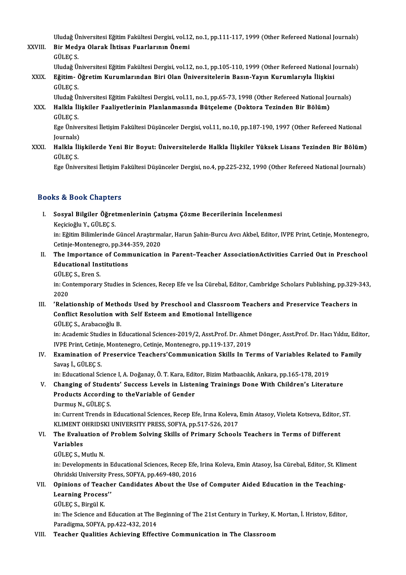Uludağ Üniversitesi Eğitim Fakültesi Dergisi, vol.12, no.1, pp.111-117, 1999 (Other Refereed National Journals)<br>Pir Modue Olarak İhtisas Eusrlanının Önemi Uludağ Üniversitesi Eğitim Fakültesi Dergisi, vol.12<br>XXVIII. Bir Medya Olarak İhtisas Fuarlarının Önemi

Uludağ Ül<br>Bir Med<sub>l</sub><br>GÜLEÇ S.<br>Uludağ Ü Bir Medya Olarak İhtisas Fuarlarının Önemi<br>GÜLEÇ S.<br>Uludağ Üniversitesi Eğitim Fakültesi Dergisi, vol.12, no.1, pp.105-110, 1999 (Other Refereed National Journals) GÜLEÇ S.<br>Uludağ Üniversitesi Eğitim Fakültesi Dergisi, vol.12, no.1, pp.105-110, 1999 (Other Refereed National J<br>XXIX. Eğitim- Öğretim Kurumlarından Biri Olan Üniversitelerin Basın-Yayın Kurumlarıyla İlişkisi<br>GÜLEC S.

Uludağ Ül<br>**Eğitim- (**<br>GÜLEÇ S.<br>Uludağ Ül Eğitim- Öğretim Kurumlarından Biri Olan Üniversitelerin Basın-Yayın Kurumlarıyla İlişkisi<br>GÜLEÇ S.<br>Uludağ Üniversitesi Eğitim Fakültesi Dergisi, vol.11, no.1, pp.65-73, 1998 (Other Refereed National Journals)<br>Halkla İlişki

XXX. Halkla İlişkiler Faaliyetlerinin Planlanmasında Bütçeleme (Doktora Tezinden Bir Bölüm) Uludağ Ül<br>Halkla İl<br>GÜLEÇ S.<br>Ege Ünive Halkla İlişkiler Faaliyetlerinin Planlanmasında Bütçeleme (Doktora Tezinden Bir Bölüm)<br>GÜLEÇ S.<br>Ege Üniversitesi İletişim Fakültesi Düşünceler Dergisi, vol.11, no.10, pp.187-190, 1997 (Other Refereed National<br>Journals)

GÜLEÇ S.<br>Ege Ünive<br>Journals)<br>Holklo İli Journals)

XXXI. Halkla İlişkilerde Yeni Bir Boyut: Üniversitelerde Halkla İlişkiler Yüksek Lisans Tezinden Bir Bölüm)

Ege Üniversitesi İletişim Fakültesi Düşünceler Dergisi, no.4, pp.225-232, 1990 (Other Refereed National Journals)

#### Books&Book Chapters

I. Sosyal Bilgiler Öğretmenlerinin Çatışma Çözme Becerilerinin İncelenmesi KeçicioğluY.,GÜLEÇS. Sosyal Bilgiler Öğretmenlerinin Çatışma Çözme Becerilerinin İncelenmesi<br>Keçicioğlu Y., GÜLEÇ S.<br>in: Eğitim Bilimlerinde Güncel Araştırmalar, Harun Şahin-Burcu Avcı Akbel, Editor, IVPE Print, Cetinje, Montenegro,

Keçicioğlu Y., GÜLEÇ S.<br>in: Eğitim Bilimlerinde Güncel Araştırma<br>Cetinje-Montenegro, pp.344-359, 2020<br>The Importance of Communisation in: Eğitim Bilimlerinde Güncel Araştırmalar, Harun Şahin-Burcu Avcı Akbel, Editor, IVPE Print, Cetinje, Montenegro,<br>Cetinje-Montenegro, pp.344-359, 2020<br>II. The Importance of Communication in Parent–Teacher AssociationActi

- Cetinje-Montenegro, pp.344<br>The Importance of Comr<br>Educational Institutions<br>CÜLECS Fren S The Importance<br>Educational Ins<br>GÜLEÇ S., Eren S.<br>in: Contemporar
	-

Educational Institutions<br>GÜLEÇ S., Eren S.<br>in: Contemporary Studies in Sciences, Recep Efe ve İsa Cürebal, Editor, Cambridge Scholars Publishing, pp.329-343,<br>2020 GÜLE<br>in: Col<br>2020<br>'Pelet In: Contemporary Studies in Sciences, Recep Efe ve İsa Cürebal, Editor, Cambridge Scholars Publishing, pp.329-<br>2020<br>III. 'Relationship of Methods Used by Preschool and Classroom Teachers and Preservice Teachers in<br>Conf

2020<br>III. 'Relationship of Methods Used by Preschool and Classroom Teachers and Preservice Teachers in<br>Conflict Resolution with Self Esteem and Emotional Intelligence GÜLEÇS.,ArabacıoğluB. Conflict Resolution with Self Esteem and Emotional Intelligence<br>GÜLEÇ S., Arabacıoğlu B.<br>in: Academic Studies in Educational Sciences-2019/2, Asst.Prof. Dr. Ahmet Dönger, Asst.Prof. Dr. Hacı Yıldız, Editor,<br>IVPE Print Ceti

GÜLEÇ S., Arabacıoğlu B.<br>in: Academic Studies in Educational Sciences-2019/2, Asst.Prof. Dr. Ahmenic.<br>IVPE Print, Cetinje, Montenegro, Cetinje, Montenegro, pp.119-137, 2019<br>Examination of Presenvise Teachers'Communication IVPE Print, Cetinje, Montenegro, Cetinje, Montenegro, pp.119-137, 2019

IV. Examination of Preservice Teachers' Communication Skills In Terms of Variables Related to Family<br>Savas İ., GÜLEC S.

in: Educational Science I, A. Doğanay, Ö. T. Kara, Editor, Bizim Matbaacılık, Ankara, pp.165-178, 2019

Savaş İ., GÜLEÇ S.<br>in: Educational Science I, A. Doğanay, Ö. T. Kara, Editor, Bizim Matbaacılık, Ankara, pp.165-178, 2019<br>V. Changing of Students' Success Levels in Listening Trainings Done With Children's Literature<br>P in: Educational Science I, A. Doğanay, Ö. T. Kara, Edit<br>Changing of Students' Success Levels in Lister<br>Products According to theVariable of Gender<br>Durmus N. CÜLECS Changing of Stude<br>Products Accordin<br>Durmuş N., GÜLEÇ S.<br>in: Curront Tronds in

Products According to theVariable of Gender<br>Durmuş N., GÜLEÇ S.<br>in: Current Trends in Educational Sciences, Recep Efe, Irına Koleva, Emin Atasoy, Violeta Kotseva, Editor, ST.<br>KLIMENT OURIDSKLIJNIVERSI''N RRESS, SOEVA, RR 5 Durmuş N., GÜLEÇ S.<br>in: Current Trends in Educational Sciences, Recep Efe, Irına Koleva, .<br>KLIMENT OHRIDSKI UNIVERSITY PRESS, SOFYA, pp.517-526, 2017<br>The Evaluation of Problem Solving Skills of Primary Schools in: Current Trends in Educational Sciences, Recep Efe, Irma Koleva, Emin Atasoy, Violeta Kotseva, Editor,<br>KLIMENT OHRIDSKI UNIVERSITY PRESS, SOFYA, pp.517-526, 2017<br>VI. The Evaluation of Problem Solving Skills of Primary S

## KLIMENT OHRIDSKI UNIVERSITY PRESS, SOFYA, pp.517-526, 2017<br>The Evaluation of Problem Solving Skills of Primary School<br>Variables<br>GÜLEC S.. Mutlu N. VI. The Evaluation of Problem Solving Skills of Primary Schools Teachers in Terms of Different

in: Developments in Educational Sciences, Recep Efe, Irina Koleva, Emin Atasoy, İsa Cürebal, Editor, St. Kliment GÜLEÇ S., Mutlu N.<br>in: Developments in Educational Sciences, Recep Efe,<br>Ohridski University Press, SOFYA, pp.469-480, 2016<br>Oninions of Teacher Candidates, About the Use

#### VII. Opinions of Teacher Candidates About the Use of Computer Aided Education in the Teaching-Ohridski University I<br>Opinions of Teach<br>Learning Process'<br>C<sup>itt ECS</sup> Pirsül V Learning Process"<br>GÜLEÇ S., Birgül K.

Learning Process''<br>GÜLEÇ S., Birgül K.<br>in: The Science and Education at The Beginning of The 21st Century in Turkey, K. Mortan, İ. Hristov, Editor, GÜLEÇ S., Birgül K.<br>in: The Science and Education at The E<br>Paradigma, SOFYA, pp.422-432, 2014<br>Teasher Qualities, Ashieving Effect

### Paradigma, SOFYA, pp.422-432, 2014<br>VIII. Teacher Qualities Achieving Effective Communication in The Classroom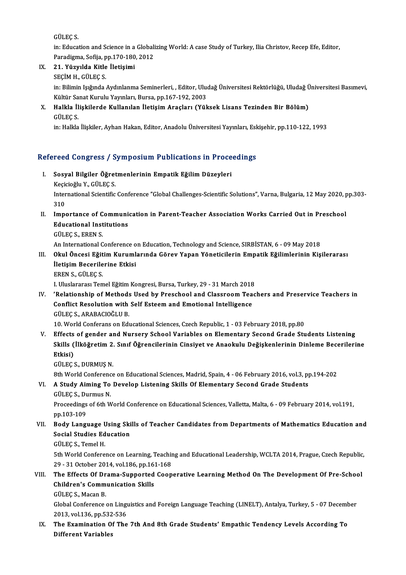GÜLEÇS.

GÜLEÇ S.<br>in: Education and Science in a Globalizing World: A case Study of Turkey, Ilia Christov, Recep Efe, Editor,<br>Peredisme, Sefija, pp.170,180, 2012 GÜLEÇ S.<br>in: Education and Science in a Globali<br>Paradigma, Sofija, pp.170-180, 2012<br>21. Vürvulde Kitle İletisimi Paradigma, Sofija, pp.170-180, 2012

IX. 21. Yüzyılda Kitle İletişimi

21. Yüzyılda Kitle İletişimi<br>SEÇİM H., GÜLEÇ S.<br>in: Bilimin Işığında Aydınlanma Seminerleri, , Editor, Uludağ Üniversitesi Rektörlüğü, Uludağ Üniversitesi Basımevi, SEÇİM H., GÜLEÇ S.<br>in: Bilimin Işığında Aydınlanma Seminerleri, , Editor, Uluo<br>Kültür Sanat Kurulu Yayınları, Bursa, pp.167-192, 2003<br>Halkla İliskilerde Kullanılan İletisim Arasları (Yül Kültür Sanat Kurulu Yayınları, Bursa, pp.167-192, 2003

X. Halkla İlişkilerde Kullanılan İletişim Araçları (Yüksek Lisans Tezinden Bir Bölüm)<br>GÜLEC S.

in: Halkla İlişkiler, Ayhan Hakan, Editor, Anadolu Üniversitesi Yayınları, Eskişehir, pp.110-122, 1993

# m: накаа шукиег, дупап накап, воцог, дпадоці опіvегуцея тауіпіаті, вук<br>Refereed Congress / Symposium Publications in Proceedings

- efereed Congress / Symposium Publications in Proce<br>I. Sosyal Bilgiler Öğretmenlerinin Empatik Eğilim Düzeyleri<br>Kesisinğlu Y. CÜLECS I. Sosyal Bilgiler Öğretmenlerinin Empatik Eğilim Düzeyleri<br>Keçicioğlu Y., GÜLEÇ S. Sosyal Bilgiler Öğretmenlerinin Empatik Eğilim Düzeyleri<br>Keçicioğlu Y., GÜLEÇ S.<br>International Scientific Conference "Global Challenges-Scientific Solutions", Varna, Bulgaria, 12 May 2020, pp.303-<br>210 Keçio<br>Inter<br>310 International Scientific Conference "Global Challenges-Scientific Solutions", Varna, Bulgaria, 12 May 2020, p<br>310<br>II. Importance of Communication in Parent-Teacher Association Works Carried Out in Preschool<br>Educational Ins
- 310<br>II. Importance of Communication in Parent-Teacher Association Works Carried Out in Preschool<br>Educational Institutions

GÜLEÇS.,ERENS.

An International Conference on Education, Technology and Science, SIRBİSTAN, 6 - 09 May 2018

#### GÜLEÇ S., EREN S.<br>An International Conference on Education, Technology and Science, SIRBİSTAN, 6 - 09 May 2018<br>III. Okul Öncesi Eğitim Kurumlarında Görev Yapan Yöneticilerin Empatik Eğilimlerinin Kişilerarası<br>İletisim Bese An International Conference o<br>Okul Öncesi Eğitim Kuruml<br>İletişim Becerilerine Etkisi<br>EPEN S. CÜLEC S Okul Öncesi Eğit<br>İletişim Becerile<br>EREN S., GÜLEÇ S.<br>LUluslararası Tan İletişim Becerilerine Etkisi<br>EREN S., GÜLEÇ S.<br>I. Uluslararası Temel Eğitim Kongresi, Bursa, Turkey, 29 - 31 March 2018

EREN S., GÜLEÇ S.<br>I. Uluslararası Temel Eğitim Kongresi, Bursa, Turkey, 29 - 31 March 2018<br>IV. 'Relationship of Methods Used by Preschool and Classroom Teachers and Preservice Teachers in<br>Conflict Pescultion with Self I. Uluslararası Temel Eğitim Kongresi, Bursa, Turkey, 29 - 31 March 2018<br>'Relationship of Methods Used by Preschool and Classroom Tea<br>Conflict Resolution with Self Esteem and Emotional Intelligence 'Relationship of Methods<br>Conflict Resolution with<br>GÜLEÇ S., ARABACIOĞLU B.<br>10 World Conferenc on Ed. 10. Conflict Resolution with Self Esteem and Emotional Intelligence<br>10. World Conferans on Educational Sciences, Czech Republic, 1 - 03 February 2018, pp.80

GÜLEÇ S., ARABACIOĞLU B.<br>10. World Conferans on Educational Sciences, Czech Republic, 1 - 03 February 2018, pp.80<br>V. Effects of gender and Nursery School Variables on Elementary Second Grade Students Listening<br>Shille Cilkö 10. World Conferans on Educational Sciences, Czech Republic, 1 - 03 February 2018, pp.80<br>Effects of gender and Nursery School Variables on Elementary Second Grade Students Listening<br>Skills (İlköğretim 2. Sınıf Öğrencilerin Effects<br>Skills (<br>Etkisi)<br>Gürecs Skills (İlköğretim 2.<br>Etkisi)<br>GÜLEÇ S., DURMUŞ N.<br><sup>Oth Morld Conference</sup>

Btkisi)<br>GÜLEÇ S., DURMUŞ N.<br>8th World Conference on Educational Sciences, Madrid, Spain, 4 - 06 February 2016, vol.3, pp.194-202

# GÜLEÇ S., DURMUŞ N.<br>8th World Conference on Educational Sciences, Madrid, Spain, 4 - 06 February 2016, vol.3, p<br>VI. A Study Aiming To Develop Listening Skills Of Elementary Second Grade Students<br>CÜLEC S. Durmus N 8th World Conference<br>A Study Aiming To<br>GÜLEÇ S., Durmus N.<br>Proceedings of 6th M

GÜLEÇ S., Durmus N.<br>Proceedings of 6th World Conference on Educational Sciences, Valletta, Malta, 6 - 09 February 2014, vol.191, pp.103-109 Proceedings of 6th World Conference on Educational Sciences, Valletta, Malta, 6 - 09 February 2014, vol.191,<br>pp.103-109<br>VII. Body Language Using Skills of Teacher Candidates from Departments of Mathematics Education and<br>So

# pp.103-109<br>Body Language Using Ski<br>Social Studies Education<br>CÜLECS, Tamel H Body Language <mark>U<br>Social Studies Ed<br>GÜLEÇ S., Temel H.</mark><br>Eth World Confere

Social Studies Education<br>GÜLEÇ S., Temel H.<br>5th World Conference on Learning, Teaching and Educational Leadership, WCLTA 2014, Prague, Czech Republic,<br>29 - 31 Osteber 2014, vol 196, np.161, 169 GÜLEÇ S., Temel H.<br>5th World Conference on Learning, Teachir<br>29 - 31 October 2014, vol.186, pp.161-168<br>The Effects Of Drame Sunnerted Cean 5th World Conference on Learning, Teaching and Educational Leadership, WCLTA 2014, Prague, Czech Republic<br>29 - 31 October 2014, vol.186, pp.161-168<br>VIII. The Effects Of Drama-Supported Cooperative Learning Method On The De

# 29 - 31 October 2014, vol.186, pp.16<br>The Effects Of Drama-Supported<br>Children's Communication Skills The Effects Of Dr<br>Children's Comm<br>GÜLEÇ S., Macan B.<br>Clabel Conference

Children's Communication Skills<br>GÜLEÇ S., Macan B.<br>Global Conference on Linguistics and Foreign Language Teaching (LINELT), Antalya, Turkey, 5 - 07 December<br>2013. val.136 np.522.526 GÜLEÇ S., Macan B.<br>Global Conference on Ling<br>2013, vol.136, pp.532-536<br>The Examination Of The Global Conference on Linguistics and Foreign Language Teaching (LINELT), Antalya, Turkey, 5 - 07 Decembrer 2013, vol.136, pp.532-536<br>IX. The Examination Of The 7th And 8th Grade Students' Empathic Tendency Levels According

2013, vol.136, pp.532-536<br>The Examination Of The 7th And 8th Grade Students' Empathic Tendency Levels According To<br>Different Variables